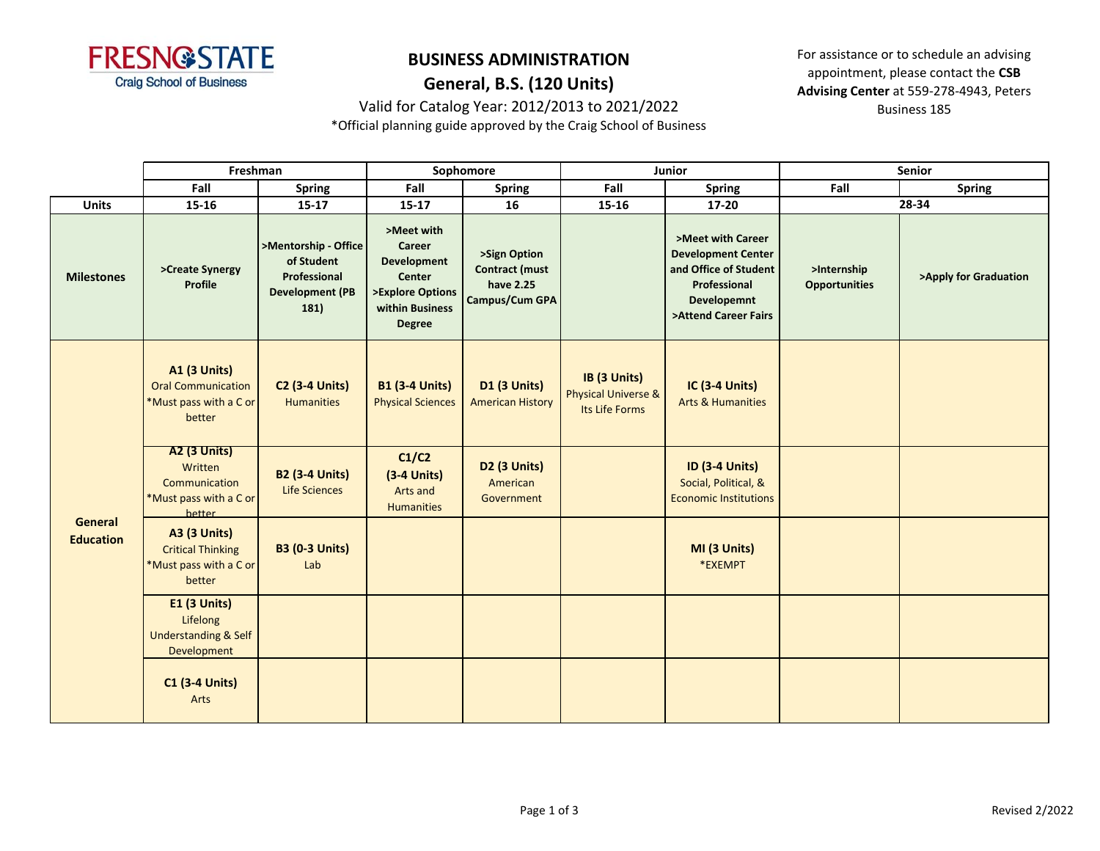

# **BUSINESS ADMINISTRATION General, B.S. (120 Units)**

Valid for Catalog Year: 2012/2013 to 2021/2022

For assistance or to schedule an advising appointment, please contact the **CSB Advising Center** at 559-278-4943, Peters Business 185

\*Official planning guide approved by the Craig School of Business

|                             | Freshman                                                                             |                                                                                      | Sophomore                                                                                                           |                                                                             | Junior                                                           |                                                                                                                                              | Senior                              |                       |
|-----------------------------|--------------------------------------------------------------------------------------|--------------------------------------------------------------------------------------|---------------------------------------------------------------------------------------------------------------------|-----------------------------------------------------------------------------|------------------------------------------------------------------|----------------------------------------------------------------------------------------------------------------------------------------------|-------------------------------------|-----------------------|
|                             | Fall                                                                                 | <b>Spring</b>                                                                        | Fall                                                                                                                | <b>Spring</b>                                                               | Fall                                                             | <b>Spring</b>                                                                                                                                | Fall                                | <b>Spring</b>         |
| <b>Units</b>                | $15 - 16$                                                                            | $15 - 17$                                                                            | $15 - 17$                                                                                                           | 16                                                                          | 15-16                                                            | $17 - 20$                                                                                                                                    | 28-34                               |                       |
| <b>Milestones</b>           | >Create Synergy<br><b>Profile</b>                                                    | >Mentorship - Office<br>of Student<br>Professional<br><b>Development (PB</b><br>181) | >Meet with<br>Career<br><b>Development</b><br><b>Center</b><br>>Explore Options<br>within Business<br><b>Degree</b> | >Sign Option<br><b>Contract (must</b><br>have 2.25<br><b>Campus/Cum GPA</b> |                                                                  | >Meet with Career<br><b>Development Center</b><br>and Office of Student<br><b>Professional</b><br><b>Developemnt</b><br>>Attend Career Fairs | >Internship<br><b>Opportunities</b> | >Apply for Graduation |
| General<br><b>Education</b> | <b>A1 (3 Units)</b><br><b>Oral Communication</b><br>*Must pass with a C or<br>better | <b>C2 (3-4 Units)</b><br><b>Humanities</b>                                           | <b>B1 (3-4 Units)</b><br><b>Physical Sciences</b>                                                                   | D1 (3 Units)<br><b>American History</b>                                     | IB (3 Units)<br><b>Physical Universe &amp;</b><br>Its Life Forms | <b>IC (3-4 Units)</b><br><b>Arts &amp; Humanities</b>                                                                                        |                                     |                       |
|                             | <b>A2 (3 Units)</b><br>Written<br>Communication<br>*Must pass with a C or<br>hetter  | <b>B2 (3-4 Units)</b><br>Life Sciences                                               | C1/C2<br>$(3-4$ Units)<br>Arts and<br><b>Humanities</b>                                                             | D2 (3 Units)<br>American<br>Government                                      |                                                                  | <b>ID (3-4 Units)</b><br>Social, Political, &<br><b>Economic Institutions</b>                                                                |                                     |                       |
|                             | <b>A3 (3 Units)</b><br><b>Critical Thinking</b><br>*Must pass with a C or<br>better  | <b>B3 (0-3 Units)</b><br>Lab                                                         |                                                                                                                     |                                                                             |                                                                  | MI (3 Units)<br>*EXEMPT                                                                                                                      |                                     |                       |
|                             | <b>E1 (3 Units)</b><br>Lifelong<br><b>Understanding &amp; Self</b><br>Development    |                                                                                      |                                                                                                                     |                                                                             |                                                                  |                                                                                                                                              |                                     |                       |
|                             | <b>C1 (3-4 Units)</b><br>Arts                                                        |                                                                                      |                                                                                                                     |                                                                             |                                                                  |                                                                                                                                              |                                     |                       |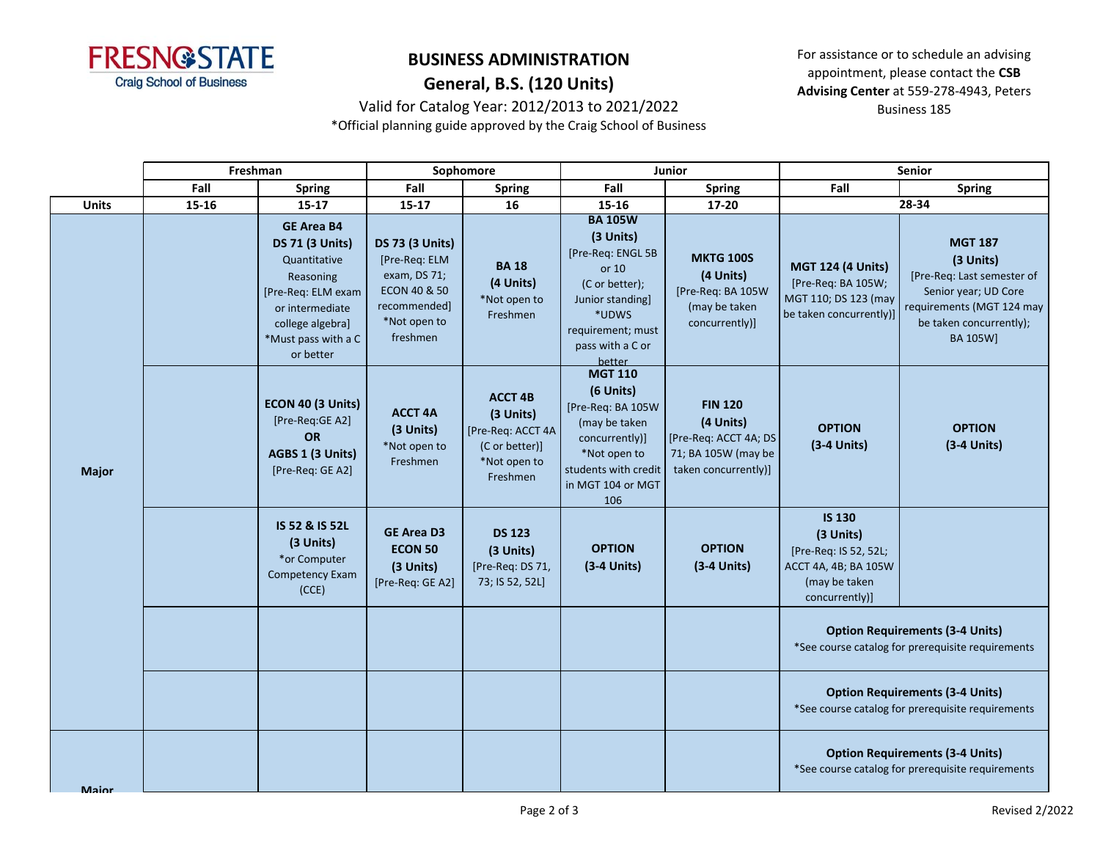

# **BUSINESS ADMINISTRATION General, B.S. (120 Units)**

For assistance or to schedule an advising appointment, please contact the **CSB Advising Center** at 559-278-4943, Peters Business 185

### Valid for Catalog Year: 2012/2013 to 2021/2022

\*Official planning guide approved by the Craig School of Business

|              | Freshman |                                                                                                                                                                           | Sophomore                                                                                                                      |                                                                                                | <b>Junior</b>                                                                                                                                              |                                                                                                     | Senior                                                                                                         |                                                                                                                                                       |  |
|--------------|----------|---------------------------------------------------------------------------------------------------------------------------------------------------------------------------|--------------------------------------------------------------------------------------------------------------------------------|------------------------------------------------------------------------------------------------|------------------------------------------------------------------------------------------------------------------------------------------------------------|-----------------------------------------------------------------------------------------------------|----------------------------------------------------------------------------------------------------------------|-------------------------------------------------------------------------------------------------------------------------------------------------------|--|
|              | Fall     | <b>Spring</b>                                                                                                                                                             | Fall                                                                                                                           | <b>Spring</b>                                                                                  | Fall                                                                                                                                                       | <b>Spring</b>                                                                                       | Fall                                                                                                           | <b>Spring</b>                                                                                                                                         |  |
| Units        | 15-16    | $15 - 17$                                                                                                                                                                 | $15 - 17$                                                                                                                      | 16                                                                                             | 15-16                                                                                                                                                      | 17-20                                                                                               | $28 - 34$                                                                                                      |                                                                                                                                                       |  |
| <b>Major</b> |          | <b>GE Area B4</b><br><b>DS 71 (3 Units)</b><br>Quantitative<br>Reasoning<br>[Pre-Req: ELM exam<br>or intermediate<br>college algebra]<br>*Must pass with a C<br>or better | <b>DS 73 (3 Units)</b><br>[Pre-Req: ELM<br>exam, DS 71;<br><b>ECON 40 &amp; 50</b><br>recommended]<br>*Not open to<br>freshmen | <b>BA18</b><br>(4 Units)<br>*Not open to<br>Freshmen                                           | <b>BA 105W</b><br>(3 Units)<br>[Pre-Req: ENGL 5B<br>or 10<br>(C or better);<br>Junior standing<br>*UDWS<br>requirement; must<br>pass with a C or<br>better | <b>MKTG 100S</b><br>(4 Units)<br>[Pre-Req: BA 105W<br>(may be taken<br>concurrently)]               | <b>MGT 124 (4 Units)</b><br>[Pre-Req: BA 105W;<br>MGT 110; DS 123 (may<br>be taken concurrently)]              | <b>MGT 187</b><br>(3 Units)<br>[Pre-Req: Last semester of<br>Senior year; UD Core<br>requirements (MGT 124 may<br>be taken concurrently);<br>BA 105W] |  |
|              |          | ECON 40 (3 Units)<br>[Pre-Req:GE A2]<br>OR<br>AGBS 1 (3 Units)<br>[Pre-Req: GE A2]                                                                                        | <b>ACCT 4A</b><br>(3 Units)<br>*Not open to<br>Freshmen                                                                        | <b>ACCT 4B</b><br>(3 Units)<br>[Pre-Req: ACCT 4A<br>(C or better)]<br>*Not open to<br>Freshmen | <b>MGT 110</b><br>(6 Units)<br>[Pre-Req: BA 105W<br>(may be taken<br>concurrently)]<br>*Not open to<br>students with credit<br>in MGT 104 or MGT<br>106    | <b>FIN 120</b><br>(4 Units)<br>[Pre-Req: ACCT 4A; DS<br>71; BA 105W (may be<br>taken concurrently)] | <b>OPTION</b><br>(3-4 Units)                                                                                   | <b>OPTION</b><br>(3-4 Units)                                                                                                                          |  |
|              |          | IS 52 & IS 52L<br>(3 Units)<br>*or Computer<br>Competency Exam<br>(CCE)                                                                                                   | <b>GE Area D3</b><br><b>ECON 50</b><br>(3 Units)<br>[Pre-Req: GE A2]                                                           | <b>DS 123</b><br>(3 Units)<br>[Pre-Req: DS 71,<br>73; IS 52, 52L]                              | <b>OPTION</b><br>$(3-4$ Units)                                                                                                                             | <b>OPTION</b><br>$(3-4$ Units)                                                                      | <b>IS 130</b><br>(3 Units)<br>[Pre-Req: IS 52, 52L;<br>ACCT 4A, 4B; BA 105W<br>(may be taken<br>concurrently)] |                                                                                                                                                       |  |
|              |          |                                                                                                                                                                           |                                                                                                                                |                                                                                                |                                                                                                                                                            |                                                                                                     | <b>Option Requirements (3-4 Units)</b><br>*See course catalog for prerequisite requirements                    |                                                                                                                                                       |  |
|              |          |                                                                                                                                                                           |                                                                                                                                |                                                                                                |                                                                                                                                                            |                                                                                                     | <b>Option Requirements (3-4 Units)</b><br>*See course catalog for prerequisite requirements                    |                                                                                                                                                       |  |
| Maior        |          |                                                                                                                                                                           |                                                                                                                                |                                                                                                |                                                                                                                                                            |                                                                                                     | <b>Option Requirements (3-4 Units)</b><br>*See course catalog for prerequisite requirements                    |                                                                                                                                                       |  |
|              |          |                                                                                                                                                                           |                                                                                                                                |                                                                                                |                                                                                                                                                            |                                                                                                     |                                                                                                                |                                                                                                                                                       |  |